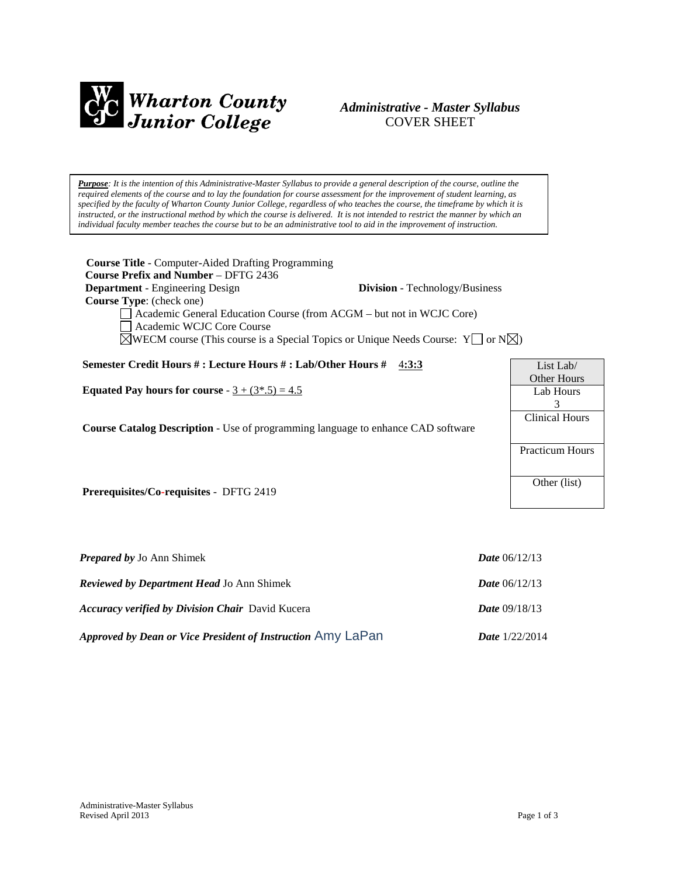

# *Administrative - Master Syllabus*  COVER SHEET

*Purpose: It is the intention of this Administrative-Master Syllabus to provide a general description of the course, outline the required elements of the course and to lay the foundation for course assessment for the improvement of student learning, as specified by the faculty of Wharton County Junior College, regardless of who teaches the course, the timeframe by which it is instructed, or the instructional method by which the course is delivered. It is not intended to restrict the manner by which an individual faculty member teaches the course but to be an administrative tool to aid in the improvement of instruction.*

| <b>Course Title</b> - Computer-Aided Drafting Programming<br><b>Course Prefix and Number – DFTG 2436</b><br><b>Department</b> - Engineering Design<br><b>Division</b> - Technology/Business<br><b>Course Type:</b> (check one)<br>Academic General Education Course (from ACGM – but not in WCJC Core)<br>Academic WCJC Core Course<br>$\triangle$ WECM course (This course is a Special Topics or Unique Needs Course: Y $\Box$ or N $\triangle$ ) |                                                               |
|-----------------------------------------------------------------------------------------------------------------------------------------------------------------------------------------------------------------------------------------------------------------------------------------------------------------------------------------------------------------------------------------------------------------------------------------------------|---------------------------------------------------------------|
| Semester Credit Hours #: Lecture Hours #: Lab/Other Hours #<br>4:3:3                                                                                                                                                                                                                                                                                                                                                                                | List Lab/                                                     |
| Equated Pay hours for course - $3 + (3*, 5) = 4.5$<br><b>Course Catalog Description</b> - Use of programming language to enhance CAD software                                                                                                                                                                                                                                                                                                       | <b>Other Hours</b><br>Lab Hours<br>3<br><b>Clinical Hours</b> |
|                                                                                                                                                                                                                                                                                                                                                                                                                                                     | Practicum Hours                                               |
| <b>Prerequisites/Co-requisites - DFTG 2419</b>                                                                                                                                                                                                                                                                                                                                                                                                      | Other (list)                                                  |
|                                                                                                                                                                                                                                                                                                                                                                                                                                                     |                                                               |

| <b>Prepared by Jo Ann Shimek</b>                            | <b>Date</b> $06/12/13$  |
|-------------------------------------------------------------|-------------------------|
| <b>Reviewed by Department Head Jo Ann Shimek</b>            | <b>Date</b> $06/12/13$  |
| <b>Accuracy verified by Division Chair</b> David Kucera     | <b>Date</b> $09/18/13$  |
| Approved by Dean or Vice President of Instruction Amy LaPan | <b>Date</b> $1/22/2014$ |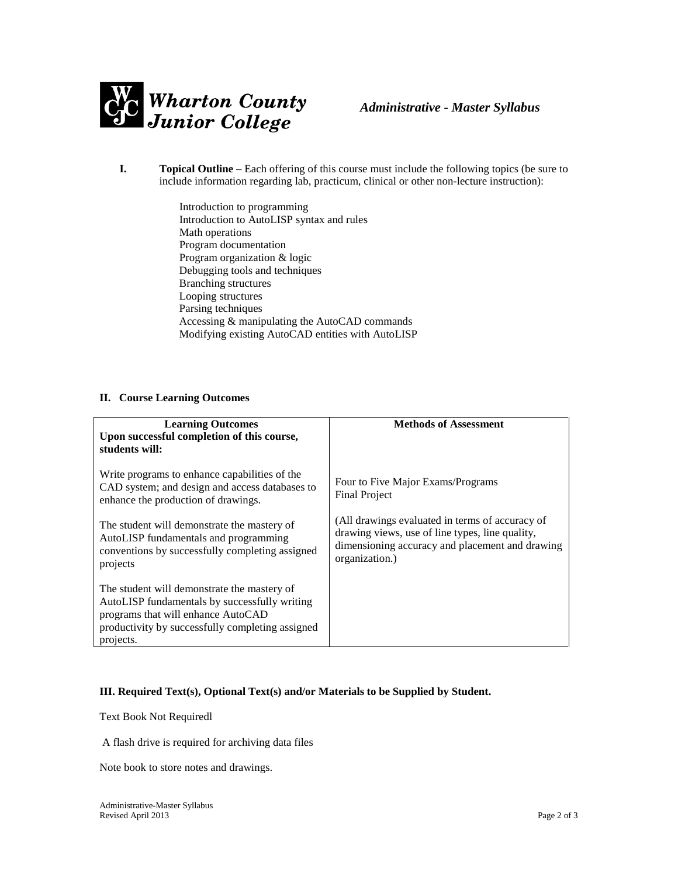

- **I. Topical Outline** Each offering of this course must include the following topics (be sure to include information regarding lab, practicum, clinical or other non-lecture instruction):
	- Introduction to programming Introduction to AutoLISP syntax and rules Math operations Program documentation Program organization & logic Debugging tools and techniques Branching structures Looping structures Parsing techniques Accessing & manipulating the AutoCAD commands Modifying existing AutoCAD entities with AutoLISP

#### **II. Course Learning Outcomes**

| <b>Learning Outcomes</b><br>Upon successful completion of this course,<br>students will:                                                                                                            | <b>Methods of Assessment</b>                                                                                                                                            |
|-----------------------------------------------------------------------------------------------------------------------------------------------------------------------------------------------------|-------------------------------------------------------------------------------------------------------------------------------------------------------------------------|
| Write programs to enhance capabilities of the<br>CAD system; and design and access databases to<br>enhance the production of drawings.                                                              | Four to Five Major Exams/Programs<br><b>Final Project</b>                                                                                                               |
| The student will demonstrate the mastery of<br>AutoLISP fundamentals and programming<br>conventions by successfully completing assigned<br>projects                                                 | (All drawings evaluated in terms of accuracy of<br>drawing views, use of line types, line quality,<br>dimensioning accuracy and placement and drawing<br>organization.) |
| The student will demonstrate the mastery of<br>AutoLISP fundamentals by successfully writing<br>programs that will enhance AutoCAD<br>productivity by successfully completing assigned<br>projects. |                                                                                                                                                                         |

### **III. Required Text(s), Optional Text(s) and/or Materials to be Supplied by Student.**

Text Book Not Requiredl

A flash drive is required for archiving data files

Note book to store notes and drawings.